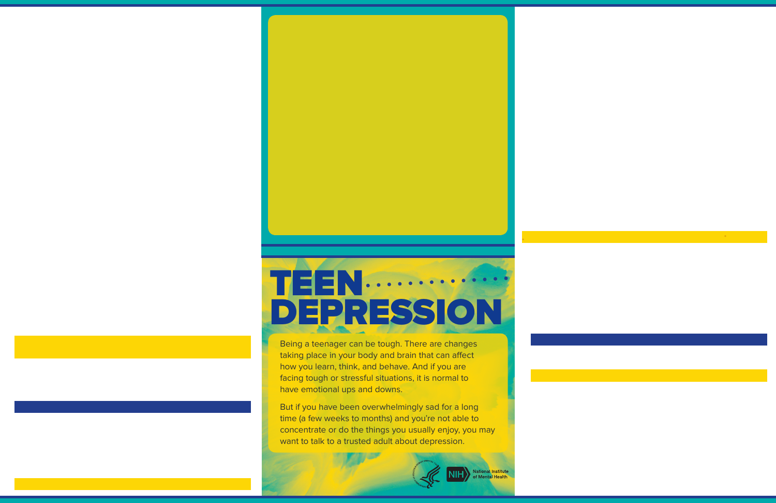# TEEN. DEPRESSION

Being a teenager can be tough. There are changes taking place in your body and brain that can affect how you learn, think, and behave. And if you are facing tough or stressful situations, it is normal to have emotional ups and downs.

But if you have been overwhelmingly sad for a long time (a few weeks to months) and you're not able to concentrate or do the things you usually enjoy, you may want to talk to a trusted adult about depression.

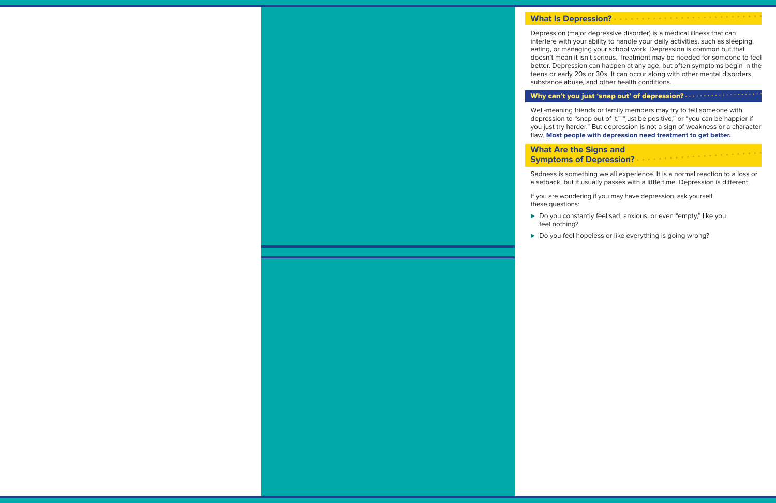#### **What Is Depression?**

Depression (major depressive disorder) is a medical illness that can interfere with your ability to handle your daily activities, such as sleeping, eating, or managing your school work. Depression is common but that doesn't mean it isn't serious. Treatment may be needed for someone to feel better. Depression can happen at any age, but often symptoms begin in the teens or early 20s or 30s. It can occur along with other mental disorders, substance abuse, and other health conditions.

#### Why can't you just 'snap out' of depression? ...

Well-meaning friends or family members may try to tell someone with depression to "snap out of it," "just be positive," or "you can be happier if you just try harder." But depression is not a sign of weakness or a character flaw. **Most people with depression need treatment to get better.**

#### **What Are the Signs and Symptoms of Depression?**

Sadness is something we all experience. It is a normal reaction to a loss or a setback, but it usually passes with a little time. Depression is different.

If you are wondering if you may have depression, ask yourself these questions:

- ▶ Do you constantly feel sad, anxious, or even "empty," like you feel nothing?
- Do you feel hopeless or like everything is going wrong?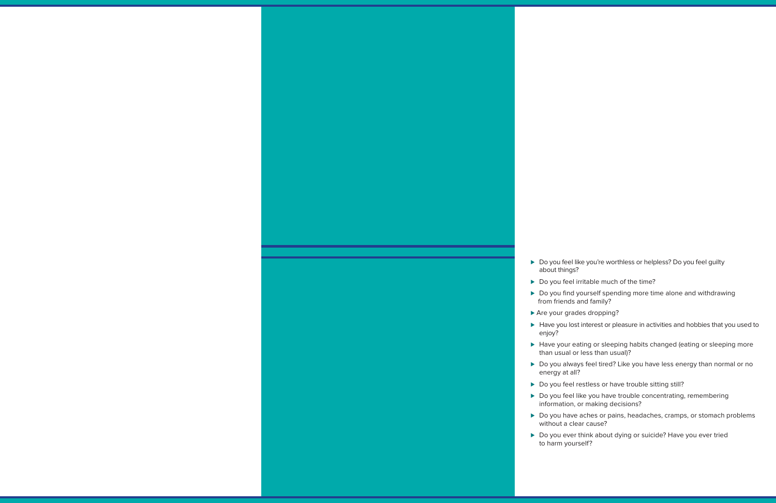- ► Do you feel like you're worthless or helpless? Do you feel quilty about things?
- ▶ Do you feel irritable much of the time?
- ► Do you find yourself spending more time alone and withdrawing from friends and family?
- ► Are your grades dropping?
- ► Have you lost interest or pleasure in activities and hobbies that you used to enjoy?
- ► Have your eating or sleeping habits changed (eating or sleeping more than usual or less than usual)?
- ► Do you always feel tired? Like you have less energy than normal or no energy at all?
- ► Do you feel restless or have trouble sitting still?
- ► Do you feel like you have trouble concentrating, remembering information, or making decisions?
- ► Do you have aches or pains, headaches, cramps, or stomach problems without a clear cause?
- ▶ Do you ever think about dying or suicide? Have you ever tried to harm yourself?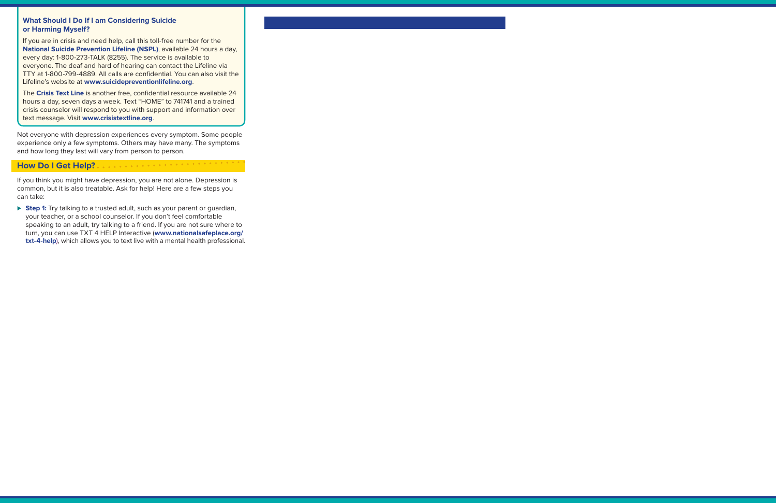#### **What Should I Do If I am Considering Suicide or Harming Myself?**

If you are in crisis and need help, call this toll-free number for the **[National Suicide Prevention Lifeline \(NSPL\)](http://suicidepreventionlifeline.org/)**, available 24 hours a day, every day: 1-800-273-TALK (8255). The service is available to everyone. The deaf and hard of hearing can contact the Lifeline via TTY at 1-800-799-4889. All calls are confidential. You can also visit the Lifeline's website at **[www.suicidepreventionlifeline.org](http://www.suicidepreventionlifeline.org/)**.

The **[Crisis Text Line](https://www.crisistextline.org/)** is another free, confidential resource available 24 hours a day, seven days a week. Text "HOME" to 741741 and a trained crisis counselor will respond to you with support and information over text message. Visit **[www.crisistextline.org](https://www.crisistextline.org/)**.

Not everyone with depression experiences every symptom. Some people experience only a few symptoms. Others may have many. The symptoms and how long they last will vary from person to person.

**All and State State State State** 

### **How Do I Get Help?**

If you think you might have depression, you are not alone. Depression is common, but it is also treatable. Ask for help! Here are a few steps you can take:

► **Step 1:** Try talking to a trusted adult, such as your parent or quardian, your teacher, or a school counselor. If you don't feel comfortable speaking to an adult, try talking to a friend. If you are not sure where to turn, you can use TXT 4 HELP Interactive (**[www.nationalsafeplace.org/](http://www.nationalsafeplace.org/txt-4-help) [txt-4-help](http://www.nationalsafeplace.org/txt-4-help)**), which allows you to text live with a mental health professional.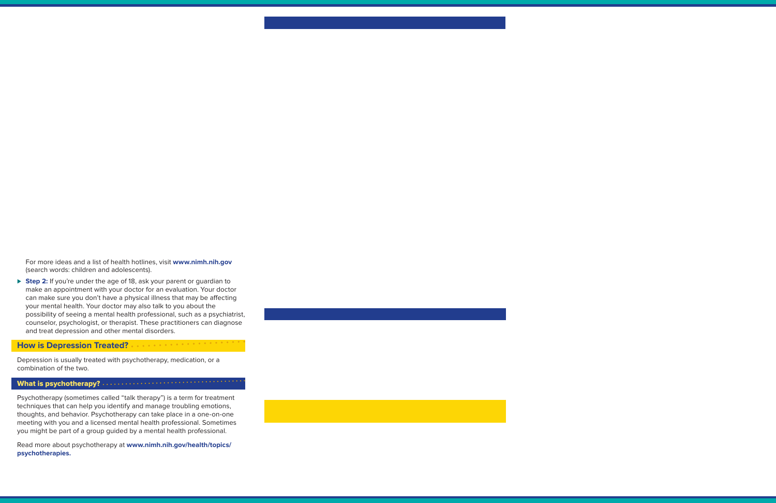For more ideas and a list of health hotlines, visit **[www.nimh.nih.gov](https://www.nimh.nih.gov/)** (search words: children and adolescents).

► Step 2: If you're under the age of 18, ask your parent or quardian to make an appointment with your doctor for an evaluation. Your doctor can make sure you don't have a physical illness that may be affecting your mental health. Your doctor may also talk to you about the possibility of seeing a mental health professional, such as a psychiatrist, counselor, psychologist, or therapist. These practitioners can diagnose and treat depression and other mental disorders.

## **How is Depression Treated?**

Depression is usually treated with psychotherapy, medication, or a combination of the two.

#### What is psychotherapy? .

Psychotherapy (sometimes called "talk therapy") is a term for treatment techniques that can help you identify and manage troubling emotions, thoughts, and behavior. Psychotherapy can take place in a one-on-one meeting with you and a licensed mental health professional. Sometimes you might be part of a group guided by a mental health professional.

Read more about psychotherapy at **[www.nimh.nih.gov/health/topics/](https://www.nimh.nih.gov/health/topics/psychotherapies/index.shtml) [psychotherapies](https://www.nimh.nih.gov/health/topics/psychotherapies/index.shtml).**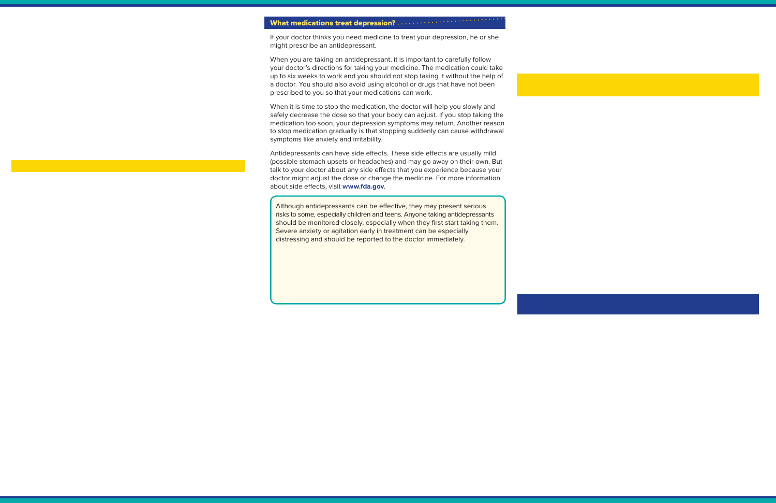#### What medications treat depression? ............

If your doctor thinks you need medicine to treat your depression, he or she might prescribe an antidepressant.

When you are taking an antidepressant, it is important to carefully follow your doctor's directions for taking your medicine. The medication could take up to six weeks to work and you should not stop taking it without the help of a doctor. You should also avoid using alcohol or drugs that have not been prescribed to you so that your medications can work.

When it is time to stop the medication, the doctor will help you slowly and safely decrease the dose so that your body can adjust. If you stop taking the medication too soon, your depression symptoms may return. Another reason to stop medication gradually is that stopping suddenly can cause withdrawal symptoms like anxiety and irritability.

Antidepressants can have side effects. These side effects are usually mild (possible stomach upsets or headaches) and may go away on their own. But talk to your doctor about any side effects that you experience because your doctor might adjust the dose or change the medicine. For more information about side effects, visit **[www.fda.gov](https://www.fda.gov/)**.

Although antidepressants can be effective, they may present serious risks to some, especially children and teens. Anyone taking antidepressants should be monitored closely, especially when they first start taking them. Severe anxiety or agitation early in treatment can be especially distressing and should be reported to the doctor immediately.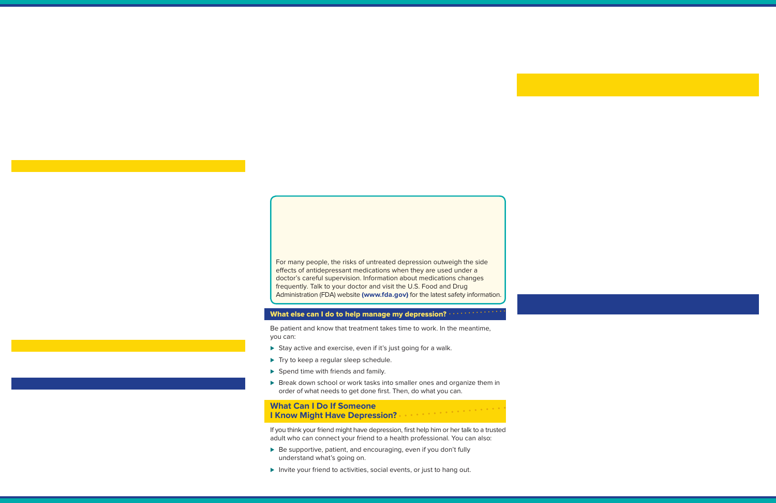For many people, the risks of untreated depression outweigh the side effects of antidepressant medications when they are used under a doctor's careful supervision. Information about medications changes frequently. Talk to your doctor and visit the U.S. Food and Drug Administration (FDA) website **[\(www.fda.gov](https://www.fda.gov/))** for the latest safety information.

#### What else can I do to help manage my depression?

Be patient and know that treatment takes time to work. In the meantime, you can:

- ► Stay active and exercise, even if it's just going for a walk.
- ► Try to keep a regular sleep schedule.
- Spend time with friends and family.
- Break down school or work tasks into smaller ones and organize them in order of what needs to get done first. Then, do what you can.

## **What Can I Do If Someone I Know Might Have Depression?**

If you think your friend might have depression, first help him or her talk to a trusted adult who can connect your friend to a health professional. You can also:

- ► Be supportive, patient, and encouraging, even if you don't fully understand what's going on.
- Invite your friend to activities, social events, or just to hang out.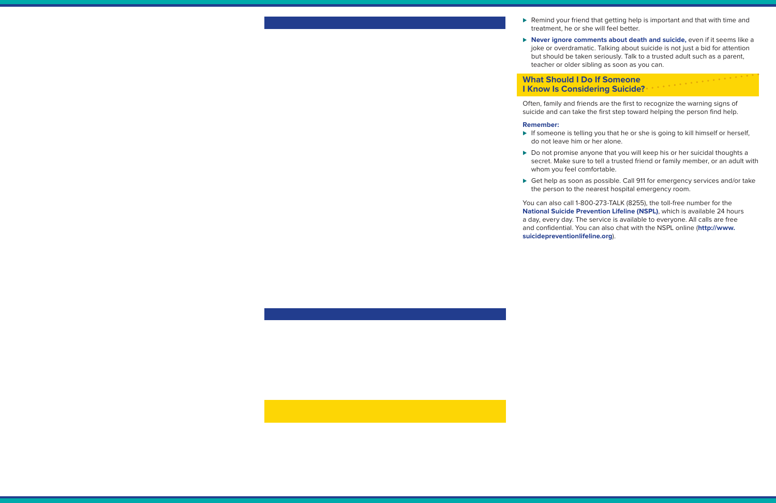- ► Remind your friend that getting help is important and that with time and treatment, he or she will feel better.
- ► **Never ignore comments about death and suicide,** even if it seems like a joke or overdramatic. Talking about suicide is not just a bid for attention but should be taken seriously. Talk to a trusted adult such as a parent, teacher or older sibling as soon as you can.

#### $\mathcal{L}_{\mathcal{A}}$  , and the set of the state of the state  $\mathcal{A}$  , and the state of the state  $\mathcal{A}$ **What Should I Do If Someone I Know Is Considering Suicide?**

Often, family and friends are the first to recognize the warning signs of suicide and can take the first step toward helping the person find help.

#### **Remember:**

- ► If someone is telling you that he or she is going to kill himself or herself, do not leave him or her alone.
- ► Do not promise anyone that you will keep his or her suicidal thoughts a secret. Make sure to tell a trusted friend or family member, or an adult with whom you feel comfortable.
- ► Get help as soon as possible. Call 911 for emergency services and/or take the person to the nearest hospital emergency room.

You can also call 1-800-273-TALK (8255), the toll-free number for the **[National Suicide Prevention Lifeline \(NSPL\)](https://suicidepreventionlifeline.org/ )**, which is available 24 hours a day, every day. The service is available to everyone. All calls are free and confidential. You can also chat with the NSPL online (**[http://www.](https://suicidepreventionlifeline.org/) [suicidepreventionlifeline.org](https://suicidepreventionlifeline.org/)**).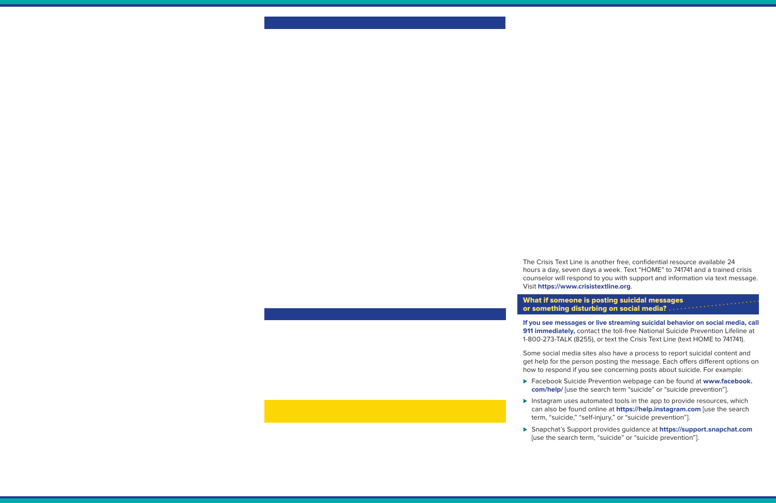The Crisis Text Line is another free, confidential resource available 24 hours a day, seven days a week. Text "HOME" to 741741 and a trained crisis counselor will respond to you with support and information via text message. Visit **[https://www.crisistextline.org](https://www.crisistextline.org/)**.

#### What if someone is posting suicidal messages or something disturbing on social media? .......

**If you see messages or live streaming suicidal behavior on social media, call 911 immediately,** contact the toll-free National Suicide Prevention Lifeline at 1-800-273-TALK (8255), or text the Crisis Text Line (text HOME to 741741).

Some social media sites also have a process to report suicidal content and get help for the person posting the message. Each offers different options on how to respond if you see concerning posts about suicide. For example:

- ► Facebook Suicide Prevention webpage can be found at **[www.facebook.](https://www.facebook.com/help/) [com/help/](https://www.facebook.com/help/)** [use the search term "suicide" or "suicide prevention"].
- ► Instagram uses automated tools in the app to provide resources, which can also be found online at **[https://help.instagram.com](https://help.instagram.com/)** [use the search term, "suicide," "self-injury," or "suicide prevention"].
- ⊲ Snapchat's Support provides guidance at **[https://support.snapchat.com](https://support.snapchat.com/en-US)** [use the search term, "suicide" or "suicide prevention"].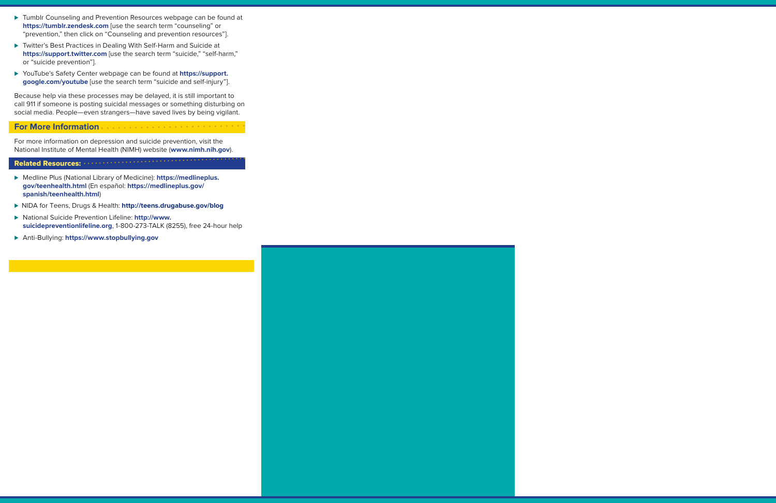- ► Tumblr Counseling and Prevention Resources webpage can be found at **[https://tumblr.zendesk.com](https://tumblr.zendesk.com/hc/en-us)** [use the search term "counseling" or "prevention," then click on "Counseling and prevention resources"].
- ► Twitter's Best Practices in Dealing With Self-Harm and Suicide at **[https://support.twitter.com](https://help.twitter.com/en/safety-and-security/self-harm-and-suicide)** [use the search term "suicide," "self-harm," or "suicide prevention"].
- ► YouTube's Safety Center webpage can be found at **h[ttps://support.](https://support.google.com/youtube#topic=7505892) [google.com/youtube](https://support.google.com/youtube#topic=7505892)** [use the search term "suicide and self-injury"].

Because help via these processes may be delayed, it is still important to call 911 if someone is posting suicidal messages or something disturbing on social media. People—even strangers—have saved lives by being vigilant.

#### **For More Information**

For more information on depression and suicide prevention, visit the National Institute of Mental Health (NIMH) website (**[www.nimh.nih.gov](https://www.nimh.nih.gov)**).

#### Related Resources:

- ⊲ Medline Plus (National Library of Medicine): **[https://medlineplus.](https://medlineplus.gov/teenhealth.html) [gov/teenhealth.html](https://medlineplus.gov/teenhealth.html)** (En español: **[https://medlineplus.gov/](https://medlineplus.gov/spanish/teenhealth.html) [spanish/teenhealth.html](https://medlineplus.gov/spanish/teenhealth.html)**)
- ⊲ NIDA for Teens, Drugs & Health: **[http://teens.drugabuse.gov/blog](https://teens.drugabuse.gov/blog)**
- ⊲ National Suicide Prevention Lifeline: **[http://www.](https://www.suicidepreventionlifeline.org) [suicidepreventionlifeline.org](https://www.suicidepreventionlifeline.org)**, 1-800-273-TALK (8255), free 24-hour help
- ⊲ Anti-Bullying: **<https://www.stopbullying.gov>**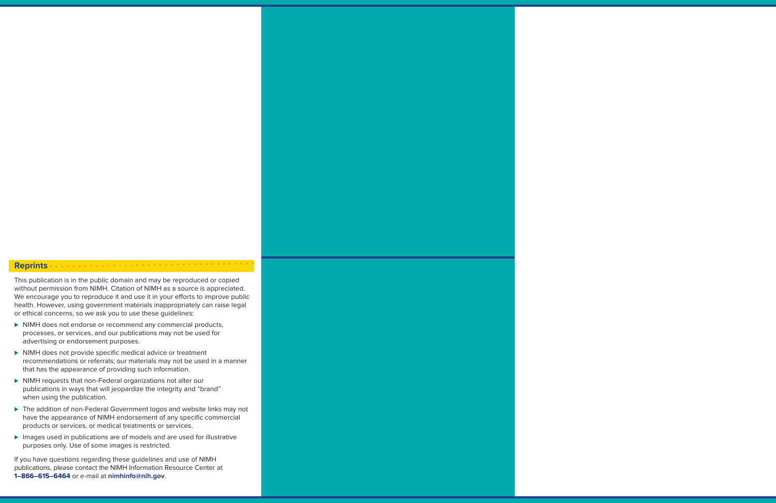#### the company of the company of the company of the company of the company of the company of the company of the company of the company of the company of the company of the company of the company of the company of the company **Reprints**

This publication is in the public domain and may be reproduced or copied without permission from NIMH. Citation of NIMH as a source is appreciated. We encourage you to reproduce it and use it in your efforts to improve public health. However, using government materials inappropriately can raise legal or ethical concerns, so we ask you to use these guidelines:

- ► NIMH does not endorse or recommend any commercial products, processes, or services, and our publications may not be used for advertising or endorsement purposes.
- ▶ NIMH does not provide specific medical advice or treatment recommendations or referrals; our materials may not be used in a manner that has the appearance of providing such information.
- ▶ NIMH requests that non-Federal organizations not alter our publications in ways that will jeopardize the integrity and "brand" when using the publication.
- ► The addition of non-Federal Government logos and website links may not have the appearance of NIMH endorsement of any specific commercial products or services, or medical treatments or services.
- Images used in publications are of models and are used for illustrative purposes only. Use of some images is restricted.

If you have questions regarding these guidelines and use of NIMH publications, please contact the NIMH Information Resource Center at **1–866–615–6464** or e-mail at **[nimhinfo@nih.gov](mailto:nimhinfo@nih.gov)**.